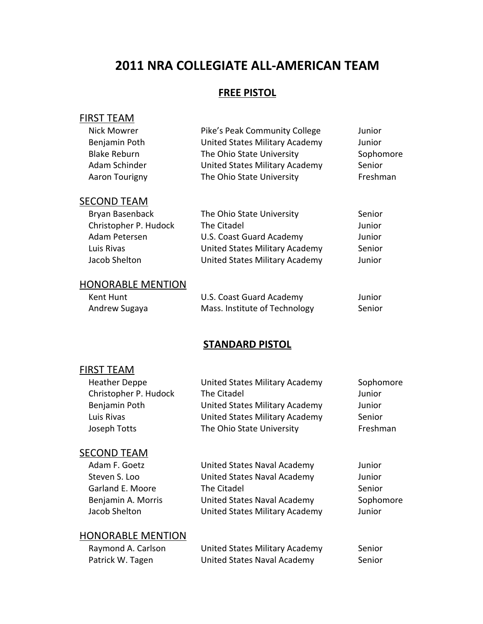# **2011 NRA COLLEGIATE ALL‐AMERICAN TEAM**

## **FREE PISTOL**

## FIRST TEAM

| Pike's Peak Community College  | Junior    |
|--------------------------------|-----------|
| United States Military Academy | Junior    |
| The Ohio State University      | Sophomore |
| United States Military Academy | Senior    |
| The Ohio State University      | Freshman  |
|                                |           |

## **SECOND TEAM**

| The Ohio State University      | Senior |
|--------------------------------|--------|
| The Citadel                    | Junior |
| U.S. Coast Guard Academy       | Junior |
| United States Military Academy | Senior |
| United States Military Academy | Junior |
|                                |        |

### HONORABLE MENTION

| Kent Hunt     | U.S. Coast Guard Academy      | Junior |
|---------------|-------------------------------|--------|
| Andrew Sugaya | Mass. Institute of Technology | Senior |

## **STANDARD PISTOL**

## FIRST TEAM

| <b>Heather Deppe</b>  | United States Military Academy | Sophomore |
|-----------------------|--------------------------------|-----------|
| Christopher P. Hudock | The Citadel                    | Junior    |
| Benjamin Poth         | United States Military Academy | Junior    |
| Luis Rivas            | United States Military Academy | Senior    |
| Joseph Totts          | The Ohio State University      | Freshman  |
|                       |                                |           |

### **SECOND TEAM**

| Adam F. Goetz      | United States Naval Academy    | Junior    |
|--------------------|--------------------------------|-----------|
| Steven S. Loo      | United States Naval Academy    | Junior    |
| Garland E. Moore   | The Citadel                    | Senior    |
| Benjamin A. Morris | United States Naval Academy    | Sophomore |
| Jacob Shelton      | United States Military Academy | Junior    |

| Raymond A. Carlson | United States Military Academy | Senior |
|--------------------|--------------------------------|--------|
| Patrick W. Tagen   | United States Naval Academy    | Senior |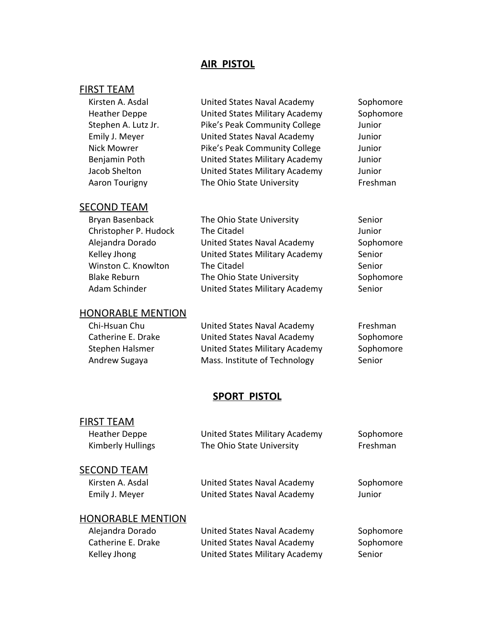## **AIR PISTOL**

## FIRST TEAM

| Kirsten A. Asdal     | United States Naval Academy    | Sophomore |
|----------------------|--------------------------------|-----------|
| <b>Heather Deppe</b> | United States Military Academy | Sophomore |
| Stephen A. Lutz Jr.  | Pike's Peak Community College  | Junior    |
| Emily J. Meyer       | United States Naval Academy    | Junior    |
| <b>Nick Mowrer</b>   | Pike's Peak Community College  | Junior    |
| Benjamin Poth        | United States Military Academy | Junior    |
| Jacob Shelton        | United States Military Academy | Junior    |
| Aaron Tourigny       | The Ohio State University      | Freshman  |
|                      |                                |           |

### **SECOND TEAM**

| Bryan Basenback       | The Ohio State University             | Senior    |
|-----------------------|---------------------------------------|-----------|
| Christopher P. Hudock | The Citadel                           | Junior    |
| Alejandra Dorado      | United States Naval Academy           | Sophomore |
| Kelley Jhong          | United States Military Academy        | Senior    |
| Winston C. Knowlton   | The Citadel                           | Senior    |
| <b>Blake Reburn</b>   | The Ohio State University             | Sophomore |
| Adam Schinder         | <b>United States Military Academy</b> | Senior    |

## HONORABLE MENTION

| Chi-Hsuan Chu      | United States Naval Academy    | Freshman  |
|--------------------|--------------------------------|-----------|
| Catherine E. Drake | United States Naval Academy    | Sophomore |
| Stephen Halsmer    | United States Military Academy | Sophomore |
| Andrew Sugaya      | Mass. Institute of Technology  | Senior    |

## **SPORT PISTOL**

| <b>FIRST TEAM</b>        |                                |           |
|--------------------------|--------------------------------|-----------|
| <b>Heather Deppe</b>     | United States Military Academy | Sophomore |
| <b>Kimberly Hullings</b> | The Ohio State University      | Freshman  |
| <b>SECOND TEAM</b>       |                                |           |
| Kirsten A. Asdal         | United States Naval Academy    | Sophomore |
| Emily J. Meyer           | United States Naval Academy    | Junior    |

| Alejandra Dorado   | United States Naval Academy    | Sophomore |
|--------------------|--------------------------------|-----------|
| Catherine E. Drake | United States Naval Academy    | Sophomore |
| Kelley Jhong       | United States Military Academy | Senior    |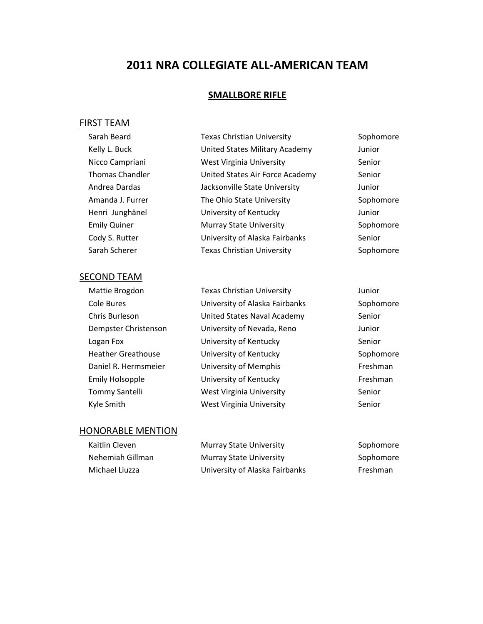# **2011 NRA COLLEGIATE ALL‐AMERICAN TEAM**

### **SMALLBORE RIFLE**

### FIRST TEAM

| Sarah Beard            | <b>Texas Christian University</b> | Sophomore |
|------------------------|-----------------------------------|-----------|
| Kelly L. Buck          | United States Military Academy    | Junior    |
| Nicco Campriani        | West Virginia University          | Senior    |
| <b>Thomas Chandler</b> | United States Air Force Academy   | Senior    |
| Andrea Dardas          | Jacksonville State University     | Junior    |
| Amanda J. Furrer       | The Ohio State University         | Sophomore |
| Henri Junghänel        | University of Kentucky            | Junior    |
| <b>Emily Quiner</b>    | <b>Murray State University</b>    | Sophomore |
| Cody S. Rutter         | University of Alaska Fairbanks    | Senior    |
| Sarah Scherer          | <b>Texas Christian University</b> | Sophomore |
|                        |                                   |           |

#### SECOND TEAM

| iviattie Brogdon       |
|------------------------|
| Cole Bures             |
| Chris Burleson         |
| Dempster Christenson   |
| Logan Fox              |
| Heather Greathouse     |
| Daniel R. Hermsmeier   |
| <b>Emily Holsopple</b> |
| <b>Tommy Santelli</b>  |
| Kvle Smith             |

Mattie Brogdon Texas Christian University Junior University of Alaska Fairbanks Sophomore United States Naval Academy Senior University of Nevada, Reno Junior University of Kentucky Senior University of Kentucky Sophomore University of Memphis Freshman University of Kentucky Freshman West Virginia University Senior Nest Virginia University Senior Senior

| Kaitlin Cleven   | <b>Murray State University</b> | Sophomore |
|------------------|--------------------------------|-----------|
| Nehemiah Gillman | <b>Murray State University</b> | Sophomore |
| Michael Liuzza   | University of Alaska Fairbanks | Freshman  |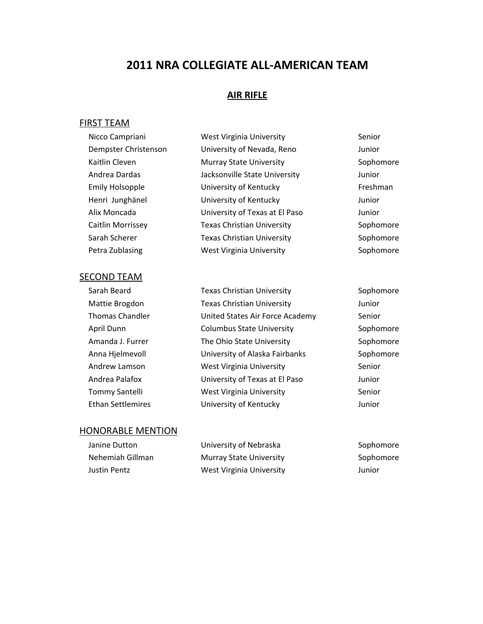## **2011 NRA COLLEGIATE ALL‐AMERICAN TEAM**

### **AIR RIFLE**

### FIRST TEAM

| Nicco Campriani        | <b>West Virginia University</b>   | Senior    |
|------------------------|-----------------------------------|-----------|
| Dempster Christenson   | University of Nevada, Reno        | Junior    |
| Kaitlin Cleven         | Murray State University           | Sophomore |
| Andrea Dardas          | Jacksonville State University     | Junior    |
| <b>Emily Holsopple</b> | University of Kentucky            | Freshman  |
| Henri Junghänel        | University of Kentucky            | Junior    |
| Alix Moncada           | University of Texas at El Paso    | Junior    |
| Caitlin Morrissey      | <b>Texas Christian University</b> | Sophomore |
| Sarah Scherer          | <b>Texas Christian University</b> | Sophomore |
| Petra Zublasing        | West Virginia University          | Sophomore |
|                        |                                   |           |

### SECOND TEAM

Sarah Beard **Texas Christian University** Sophomore Mattie Brogdon Texas Christian University Junior Thomas Chandler **United States Air Force Academy** Senior April Dunn **Columbus State University** Sophomore Amanda J. Furrer The Ohio State University Sophomore Anna Hjelmevoll **Example 20 University of Alaska Fairbanks** Sophomore Andrew Lamson **West Virginia University** Senior Andrea Palafox University of Texas at El Paso Junior Tommy Santelli **West Virginia University** Senior Ethan Settlemires University of Kentucky Junior

| Janine Dutton    | University of Nebraska         | Sophomore |
|------------------|--------------------------------|-----------|
| Nehemiah Gillman | <b>Murray State University</b> | Sophomore |
| Justin Pentz     | West Virginia University       | Junior    |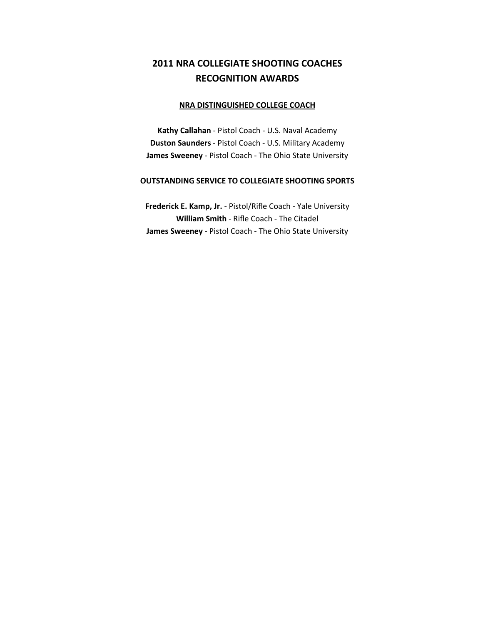## **2011 NRA COLLEGIATE SHOOTING COACHES RECOGNITION AWARDS**

#### **NRA DISTINGUISHED COLLEGE COACH**

**Kathy Callahan** ‐ Pistol Coach ‐ U.S. Naval Academy **Duston Saunders** ‐ Pistol Coach ‐ U.S. Military Academy **James Sweeney** ‐ Pistol Coach ‐ The Ohio State University

#### **OUTSTANDING SERVICE TO COLLEGIATE SHOOTING SPORTS**

**Frederick E. Kamp, Jr.** ‐ Pistol/Rifle Coach ‐ Yale University **William Smith** ‐ Rifle Coach ‐ The Citadel **James Sweeney** ‐ Pistol Coach ‐ The Ohio State University